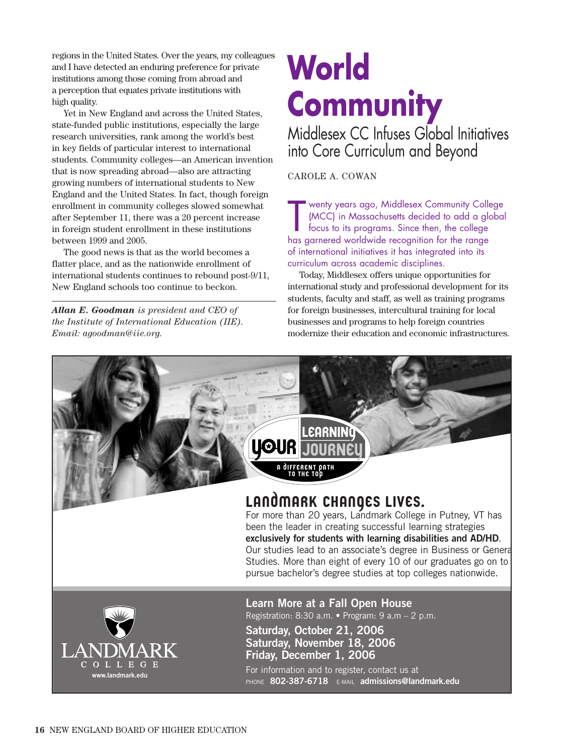regions in the United States. Over the years, my colleagues and I have detected an enduring preference for private institutions among those coming from abroad and a perception that equates private institutions with high quality.

Yet in New England and across the United States, state-funded public institutions, especially the large research universities, rank among the world's best in key fields of particular interest to international students. Community colleges—an American invention that is now spreading abroad—also are attracting growing numbers of international students to New England and the United States. In fact, though foreign enrollment in community colleges slowed somewhat after September 11, there was a 20 percent increase in foreign student enrollment in these institutions between 1999 and 2005.

The good news is that as the world becomes a flatter place, and as the nationwide enrollment of international students continues to rebound post-9/11, New England schools too continue to beckon.

*Allan E. Goodman is president and CEO of the Institute of International Education (IIE). Email: agoodman@iie.org.*

## **World Community**

Middlesex CC Infuses Global Initiatives into Core Curriculum and Beyond

CAROLE A. COWAN

wenty years ago, Middlesex Community Colle<br>(MCC) in Massachusetts decided to add a glob<br>focus to its programs. Since then, the college<br>has garnered worldwide recognition for the range wenty years ago, Middlesex Community College (MCC) in Massachusetts decided to add a global focus to its programs. Since then, the college of international initiatives it has integrated into its curriculum across academic disciplines.

Today, Middlesex offers unique opportunities for international study and professional development for its students, faculty and staff, as well as training programs for foreign businesses, intercultural training for local businesses and programs to help foreign countries modernize their education and economic infrastructures.